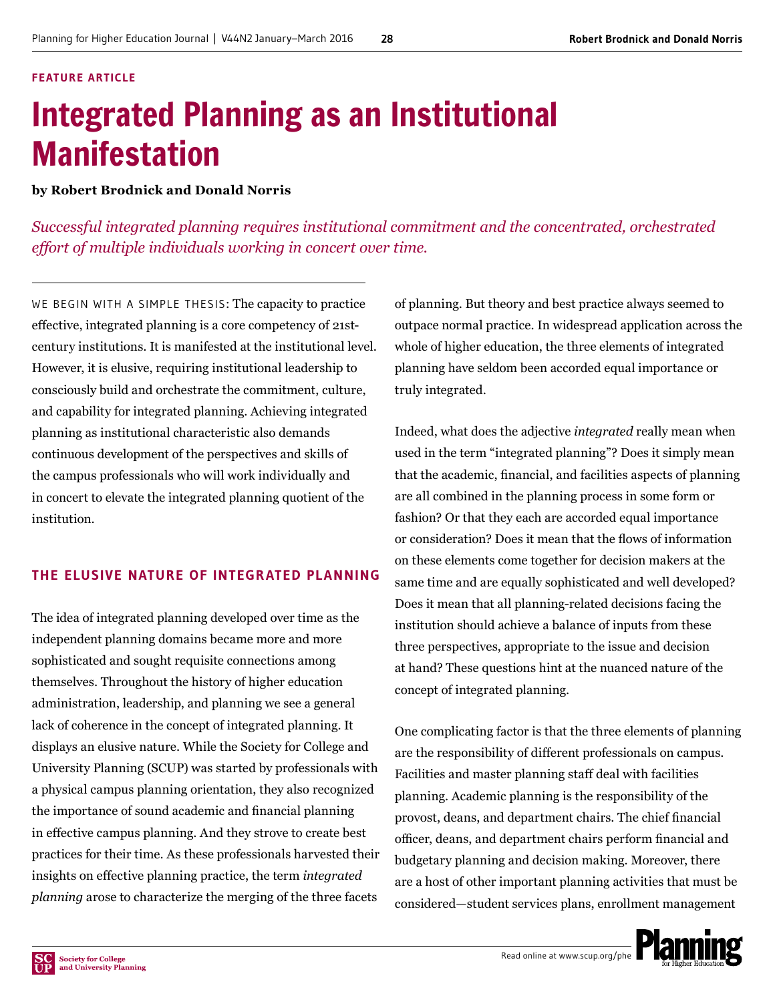#### **FEATURE ARTICLE**

# Integrated Planning as an Institutional Manifestation

**by Robert Brodnick and Donald Norris**

*Successful integrated planning requires institutional commitment and the concentrated, orchestrated effort of multiple individuals working in concert over time.*

WE BEGIN WITH A SIMPLE THESIS: The capacity to practice effective, integrated planning is a core competency of 21stcentury institutions. It is manifested at the institutional level. However, it is elusive, requiring institutional leadership to consciously build and orchestrate the commitment, culture, and capability for integrated planning. Achieving integrated planning as institutional characteristic also demands continuous development of the perspectives and skills of the campus professionals who will work individually and in concert to elevate the integrated planning quotient of the institution.

# **THE ELUSIVE NATURE OF INTEGRATED PLANNING**

The idea of integrated planning developed over time as the independent planning domains became more and more sophisticated and sought requisite connections among themselves. Throughout the history of higher education administration, leadership, and planning we see a general lack of coherence in the concept of integrated planning. It displays an elusive nature. While the Society for College and University Planning (SCUP) was started by professionals with a physical campus planning orientation, they also recognized the importance of sound academic and financial planning in effective campus planning. And they strove to create best practices for their time. As these professionals harvested their insights on effective planning practice, the term *integrated planning* arose to characterize the merging of the three facets

of planning. But theory and best practice always seemed to outpace normal practice. In widespread application across the whole of higher education, the three elements of integrated planning have seldom been accorded equal importance or truly integrated.

Indeed, what does the adjective *integrated* really mean when used in the term "integrated planning"? Does it simply mean that the academic, financial, and facilities aspects of planning are all combined in the planning process in some form or fashion? Or that they each are accorded equal importance or consideration? Does it mean that the flows of information on these elements come together for decision makers at the same time and are equally sophisticated and well developed? Does it mean that all planning-related decisions facing the institution should achieve a balance of inputs from these three perspectives, appropriate to the issue and decision at hand? These questions hint at the nuanced nature of the concept of integrated planning.

One complicating factor is that the three elements of planning are the responsibility of different professionals on campus. Facilities and master planning staff deal with facilities planning. Academic planning is the responsibility of the provost, deans, and department chairs. The chief financial officer, deans, and department chairs perform financial and budgetary planning and decision making. Moreover, there are a host of other important planning activities that must be considered—student services plans, enrollment management

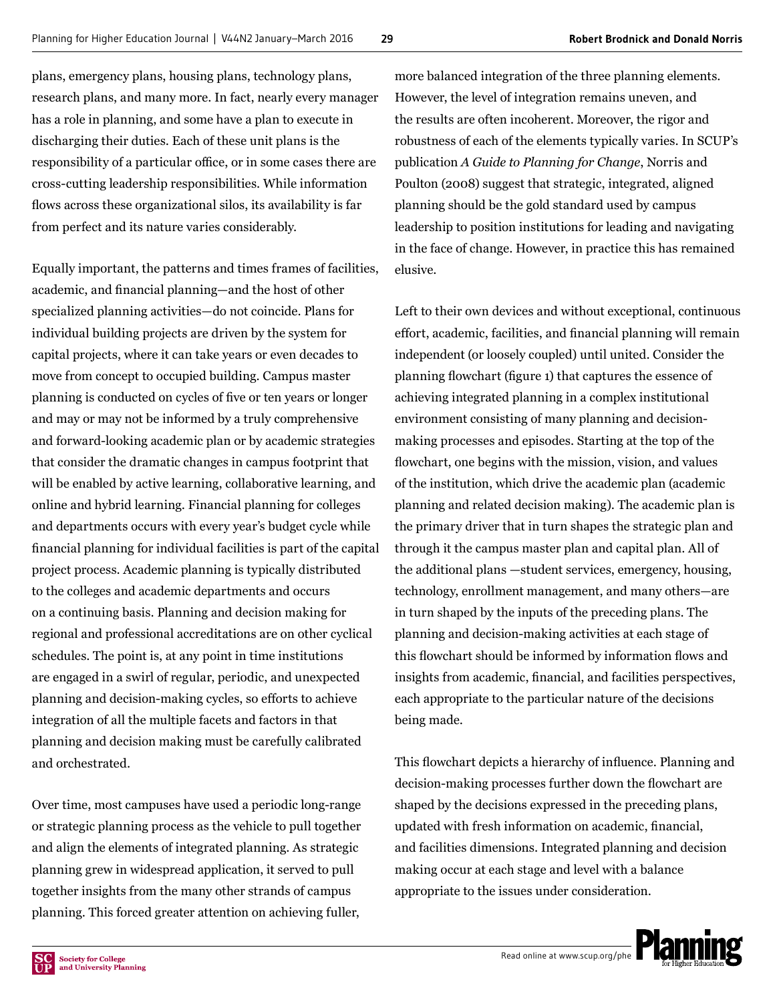plans, emergency plans, housing plans, technology plans, research plans, and many more. In fact, nearly every manager has a role in planning, and some have a plan to execute in discharging their duties. Each of these unit plans is the responsibility of a particular office, or in some cases there are cross-cutting leadership responsibilities. While information flows across these organizational silos, its availability is far from perfect and its nature varies considerably.

Equally important, the patterns and times frames of facilities, academic, and financial planning—and the host of other specialized planning activities—do not coincide. Plans for individual building projects are driven by the system for capital projects, where it can take years or even decades to move from concept to occupied building. Campus master planning is conducted on cycles of five or ten years or longer and may or may not be informed by a truly comprehensive and forward-looking academic plan or by academic strategies that consider the dramatic changes in campus footprint that will be enabled by active learning, collaborative learning, and online and hybrid learning. Financial planning for colleges and departments occurs with every year's budget cycle while financial planning for individual facilities is part of the capital project process. Academic planning is typically distributed to the colleges and academic departments and occurs on a continuing basis. Planning and decision making for regional and professional accreditations are on other cyclical schedules. The point is, at any point in time institutions are engaged in a swirl of regular, periodic, and unexpected planning and decision-making cycles, so efforts to achieve integration of all the multiple facets and factors in that planning and decision making must be carefully calibrated and orchestrated.

Over time, most campuses have used a periodic long-range or strategic planning process as the vehicle to pull together and align the elements of integrated planning. As strategic planning grew in widespread application, it served to pull together insights from the many other strands of campus planning. This forced greater attention on achieving fuller,

more balanced integration of the three planning elements. However, the level of integration remains uneven, and the results are often incoherent. Moreover, the rigor and robustness of each of the elements typically varies. In SCUP's publication *A Guide to Planning for Change*, Norris and Poulton (2008) suggest that strategic, integrated, aligned planning should be the gold standard used by campus leadership to position institutions for leading and navigating in the face of change. However, in practice this has remained elusive.

Left to their own devices and without exceptional, continuous effort, academic, facilities, and financial planning will remain independent (or loosely coupled) until united. Consider the planning flowchart (figure 1) that captures the essence of achieving integrated planning in a complex institutional environment consisting of many planning and decisionmaking processes and episodes. Starting at the top of the flowchart, one begins with the mission, vision, and values of the institution, which drive the academic plan (academic planning and related decision making). The academic plan is the primary driver that in turn shapes the strategic plan and through it the campus master plan and capital plan. All of the additional plans —student services, emergency, housing, technology, enrollment management, and many others—are in turn shaped by the inputs of the preceding plans. The planning and decision-making activities at each stage of this flowchart should be informed by information flows and insights from academic, financial, and facilities perspectives, each appropriate to the particular nature of the decisions being made.

This flowchart depicts a hierarchy of influence. Planning and decision-making processes further down the flowchart are shaped by the decisions expressed in the preceding plans, updated with fresh information on academic, financial, and facilities dimensions. Integrated planning and decision making occur at each stage and level with a balance appropriate to the issues under consideration.

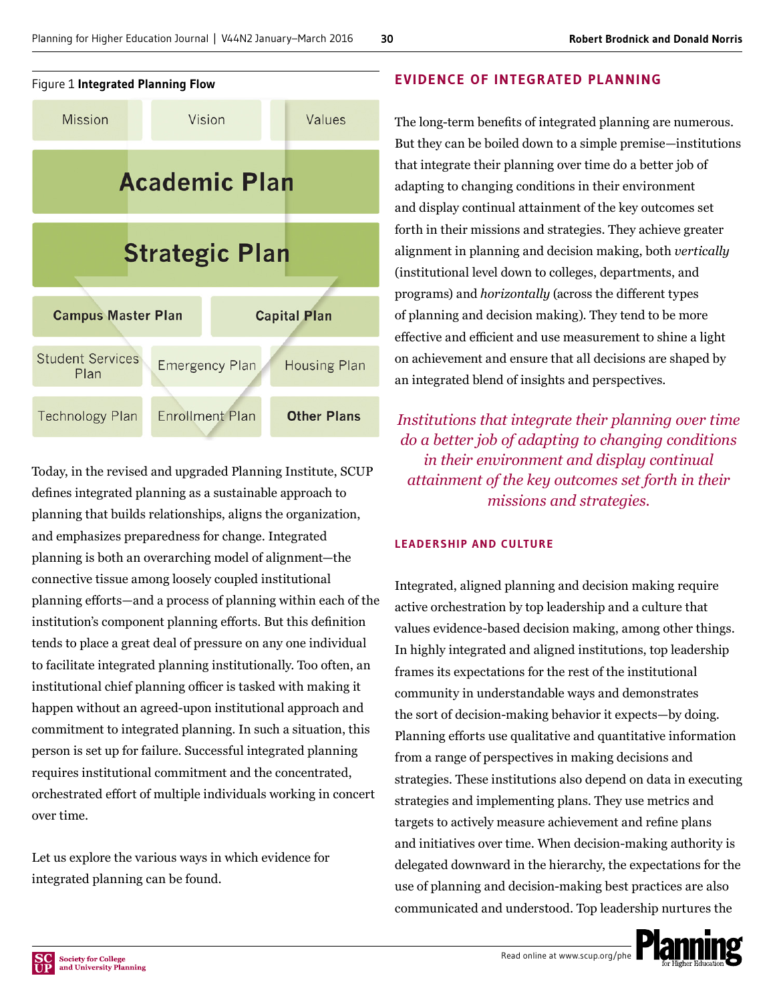

Today, in the revised and upgraded Planning Institute, SCUP defines integrated planning as a sustainable approach to planning that builds relationships, aligns the organization, and emphasizes preparedness for change. Integrated planning is both an overarching model of alignment—the connective tissue among loosely coupled institutional planning efforts—and a process of planning within each of the institution's component planning efforts. But this definition tends to place a great deal of pressure on any one individual to facilitate integrated planning institutionally. Too often, an institutional chief planning officer is tasked with making it happen without an agreed-upon institutional approach and commitment to integrated planning. In such a situation, this person is set up for failure. Successful integrated planning requires institutional commitment and the concentrated, orchestrated effort of multiple individuals working in concert over time.

Let us explore the various ways in which evidence for integrated planning can be found.

# **EVIDENCE OF INTEGRATED PLANNING**

The long-term benefits of integrated planning are numerous. But they can be boiled down to a simple premise—institutions that integrate their planning over time do a better job of adapting to changing conditions in their environment and display continual attainment of the key outcomes set forth in their missions and strategies. They achieve greater alignment in planning and decision making, both *vertically* (institutional level down to colleges, departments, and programs) and *horizontally* (across the different types of planning and decision making). They tend to be more effective and efficient and use measurement to shine a light on achievement and ensure that all decisions are shaped by an integrated blend of insights and perspectives.

*Institutions that integrate their planning over time do a better job of adapting to changing conditions in their environment and display continual attainment of the key outcomes set forth in their missions and strategies.*

# **LEADERSHIP AND CULTURE**

Integrated, aligned planning and decision making require active orchestration by top leadership and a culture that values evidence-based decision making, among other things. In highly integrated and aligned institutions, top leadership frames its expectations for the rest of the institutional community in understandable ways and demonstrates the sort of decision-making behavior it expects—by doing. Planning efforts use qualitative and quantitative information from a range of perspectives in making decisions and strategies. These institutions also depend on data in executing strategies and implementing plans. They use metrics and targets to actively measure achievement and refine plans and initiatives over time. When decision-making authority is delegated downward in the hierarchy, the expectations for the use of planning and decision-making best practices are also communicated and understood. Top leadership nurtures the

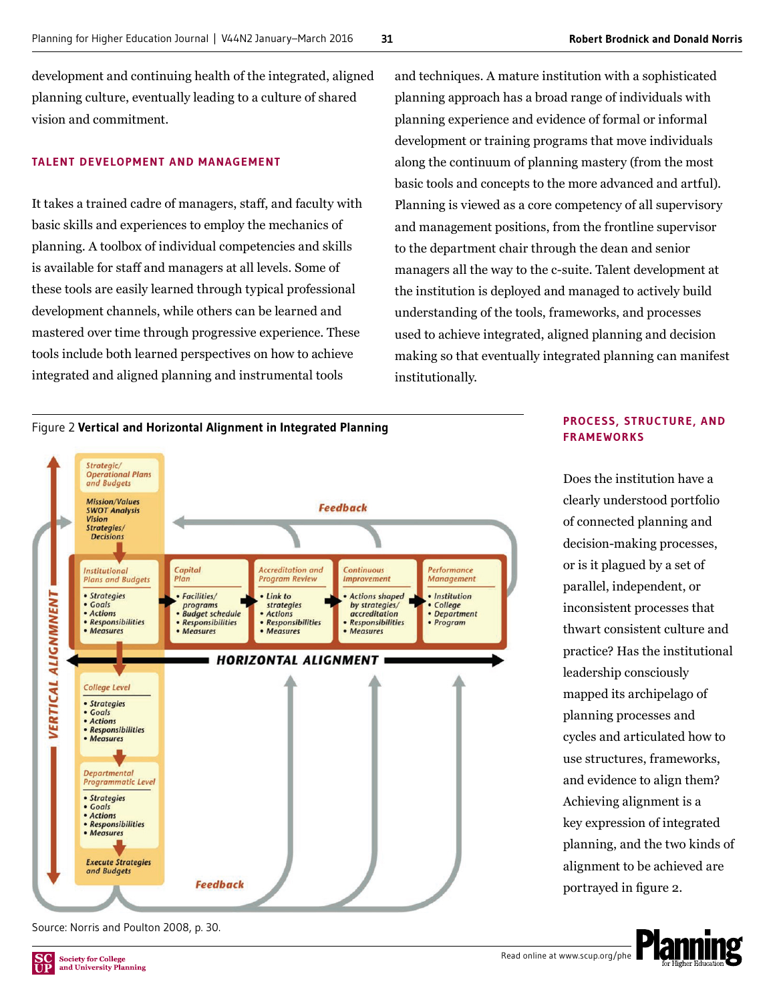development and continuing health of the integrated, aligned planning culture, eventually leading to a culture of shared vision and commitment.

#### **TALENT DEVELOPMENT AND MANAGEMENT**

It takes a trained cadre of managers, staff, and faculty with basic skills and experiences to employ the mechanics of planning. A toolbox of individual competencies and skills is available for staff and managers at all levels. Some of these tools are easily learned through typical professional development channels, while others can be learned and mastered over time through progressive experience. These tools include both learned perspectives on how to achieve integrated and aligned planning and instrumental tools

and techniques. A mature institution with a sophisticated planning approach has a broad range of individuals with planning experience and evidence of formal or informal development or training programs that move individuals along the continuum of planning mastery (from the most basic tools and concepts to the more advanced and artful). Planning is viewed as a core competency of all supervisory and management positions, from the frontline supervisor to the department chair through the dean and senior managers all the way to the c-suite. Talent development at the institution is deployed and managed to actively build understanding of the tools, frameworks, and processes used to achieve integrated, aligned planning and decision making so that eventually integrated planning can manifest institutionally.





Source: Norris and Poulton 2008, p. 30.





Does the institution have a clearly understood portfolio of connected planning and decision-making processes, or is it plagued by a set of parallel, independent, or inconsistent processes that thwart consistent culture and practice? Has the institutional leadership consciously mapped its archipelago of planning processes and cycles and articulated how to use structures, frameworks, and evidence to align them? Achieving alignment is a key expression of integrated planning, and the two kinds of alignment to be achieved are portrayed in figure 2.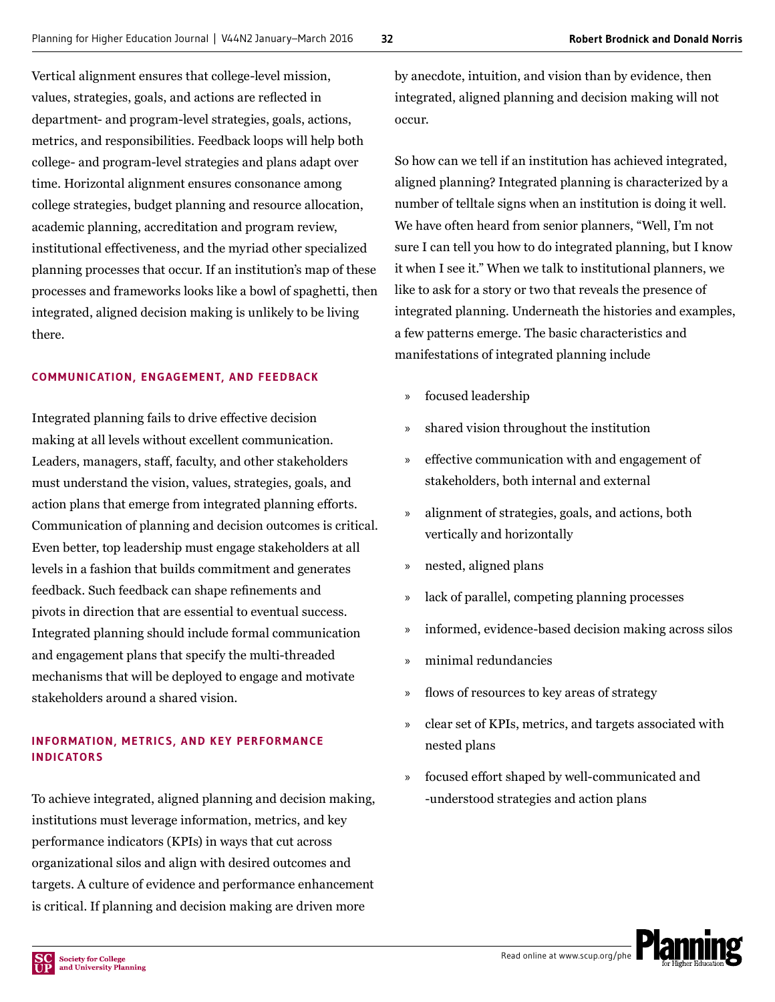Vertical alignment ensures that college-level mission, values, strategies, goals, and actions are reflected in department- and program-level strategies, goals, actions, metrics, and responsibilities. Feedback loops will help both college- and program-level strategies and plans adapt over time. Horizontal alignment ensures consonance among college strategies, budget planning and resource allocation, academic planning, accreditation and program review, institutional effectiveness, and the myriad other specialized planning processes that occur. If an institution's map of these processes and frameworks looks like a bowl of spaghetti, then integrated, aligned decision making is unlikely to be living there.

# **COMMUNICATION, ENGAGEMENT, AND FEEDBACK**

Integrated planning fails to drive effective decision making at all levels without excellent communication. Leaders, managers, staff, faculty, and other stakeholders must understand the vision, values, strategies, goals, and action plans that emerge from integrated planning efforts. Communication of planning and decision outcomes is critical. Even better, top leadership must engage stakeholders at all levels in a fashion that builds commitment and generates feedback. Such feedback can shape refinements and pivots in direction that are essential to eventual success. Integrated planning should include formal communication and engagement plans that specify the multi-threaded mechanisms that will be deployed to engage and motivate stakeholders around a shared vision.

# **INFORMATION, METRICS, AND KEY PERFORMANCE INDICATORS**

To achieve integrated, aligned planning and decision making, institutions must leverage information, metrics, and key performance indicators (KPIs) in ways that cut across organizational silos and align with desired outcomes and targets. A culture of evidence and performance enhancement is critical. If planning and decision making are driven more

by anecdote, intuition, and vision than by evidence, then integrated, aligned planning and decision making will not occur.

So how can we tell if an institution has achieved integrated, aligned planning? Integrated planning is characterized by a number of telltale signs when an institution is doing it well. We have often heard from senior planners, "Well, I'm not sure I can tell you how to do integrated planning, but I know it when I see it." When we talk to institutional planners, we like to ask for a story or two that reveals the presence of integrated planning. Underneath the histories and examples, a few patterns emerge. The basic characteristics and manifestations of integrated planning include

- » focused leadership
- » shared vision throughout the institution
- » effective communication with and engagement of stakeholders, both internal and external
- » alignment of strategies, goals, and actions, both vertically and horizontally
- » nested, aligned plans
- » lack of parallel, competing planning processes
- » informed, evidence-based decision making across silos
- » minimal redundancies
- » flows of resources to key areas of strategy
- » clear set of KPIs, metrics, and targets associated with nested plans
- focused effort shaped by well-communicated and -understood strategies and action plans

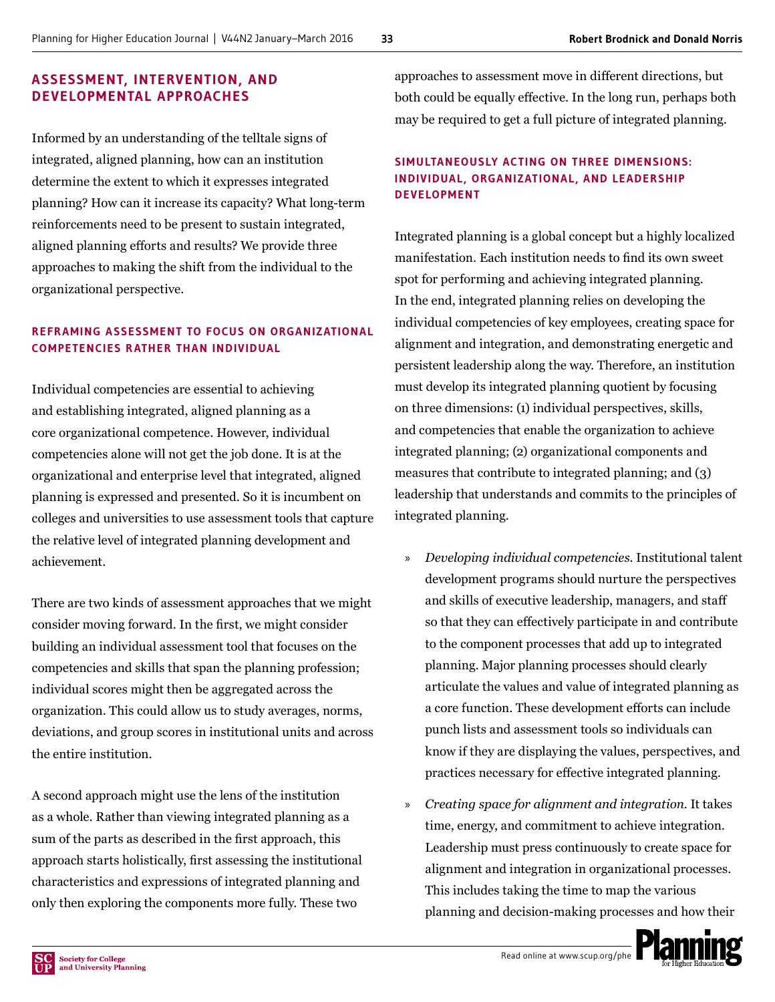## **ASSESSMENT, INTERVENTION, AND DEVELOPMENTAL APPROACHES**

Informed by an understanding of the telltale signs of integrated, aligned planning, how can an institution determine the extent to which it expresses integrated planning? How can it increase its capacity? What long-term reinforcements need to be present to sustain integrated, aligned planning efforts and results? We provide three approaches to making the shift from the individual to the organizational perspective.

# **REFR AMING ASSESSMENT TO FOCUS ON ORGANIZ ATIONAL COMPETENCIES RATHER THAN INDIVIDUAL**

Individual competencies are essential to achieving and establishing integrated, aligned planning as a core organizational competence. However, individual competencies alone will not get the job done. It is at the organizational and enterprise level that integrated, aligned planning is expressed and presented. So it is incumbent on colleges and universities to use assessment tools that capture the relative level of integrated planning development and achievement.

There are two kinds of assessment approaches that we might consider moving forward. In the first, we might consider building an individual assessment tool that focuses on the competencies and skills that span the planning profession; individual scores might then be aggregated across the organization. This could allow us to study averages, norms, deviations, and group scores in institutional units and across the entire institution.

A second approach might use the lens of the institution as a whole. Rather than viewing integrated planning as a sum of the parts as described in the first approach, this approach starts holistically, first assessing the institutional characteristics and expressions of integrated planning and only then exploring the components more fully. These two

approaches to assessment move in different directions, but both could be equally effective. In the long run, perhaps both may be required to get a full picture of integrated planning.

# **SIMULTANEOUSLY ACTING ON THREE DIMENSIONS: INDIVIDUAL , ORGANIZ ATIONAL , AND LEADERSHIP DEVELOPMENT**

Integrated planning is a global concept but a highly localized manifestation. Each institution needs to find its own sweet spot for performing and achieving integrated planning. In the end, integrated planning relies on developing the individual competencies of key employees, creating space for alignment and integration, and demonstrating energetic and persistent leadership along the way. Therefore, an institution must develop its integrated planning quotient by focusing on three dimensions: (1) individual perspectives, skills, and competencies that enable the organization to achieve integrated planning; (2) organizational components and measures that contribute to integrated planning; and (3) leadership that understands and commits to the principles of integrated planning.

- » *Developing individual competencies.* Institutional talent development programs should nurture the perspectives and skills of executive leadership, managers, and staff so that they can effectively participate in and contribute to the component processes that add up to integrated planning. Major planning processes should clearly articulate the values and value of integrated planning as a core function. These development efforts can include punch lists and assessment tools so individuals can know if they are displaying the values, perspectives, and practices necessary for effective integrated planning.
- » *Creating space for alignment and integration.* It takes time, energy, and commitment to achieve integration. Leadership must press continuously to create space for alignment and integration in organizational processes. This includes taking the time to map the various planning and decision-making processes and how their

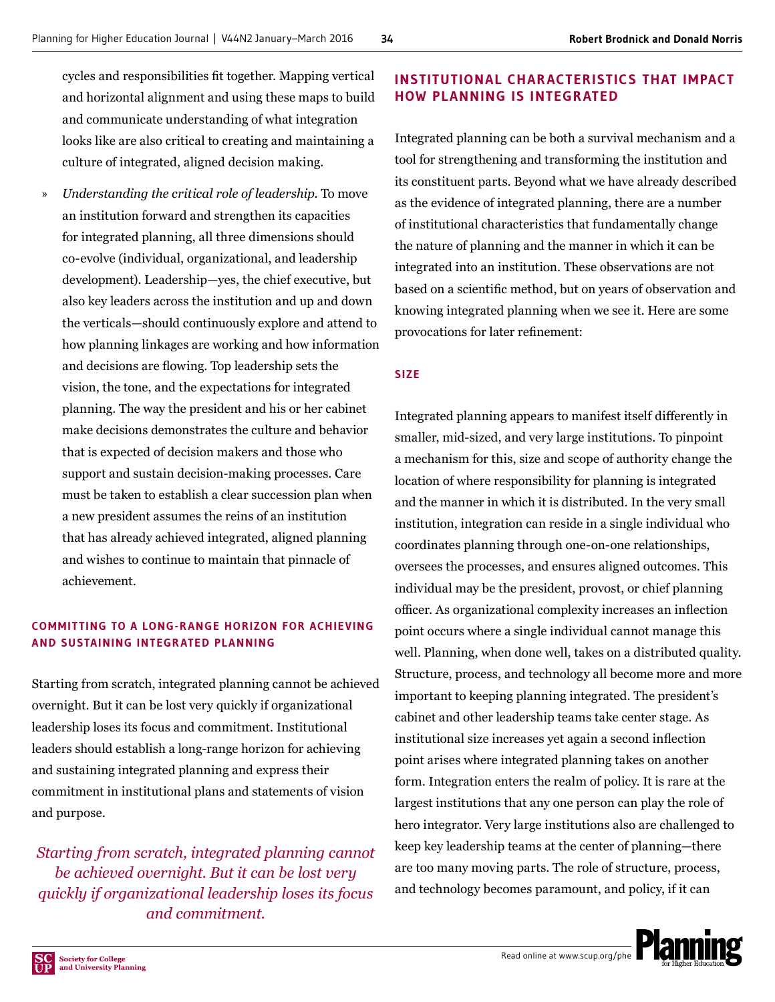cycles and responsibilities fit together. Mapping vertical and horizontal alignment and using these maps to build and communicate understanding of what integration looks like are also critical to creating and maintaining a culture of integrated, aligned decision making.

» *Understanding the critical role of leadership.* To move an institution forward and strengthen its capacities for integrated planning, all three dimensions should co-evolve (individual, organizational, and leadership development). Leadership—yes, the chief executive, but also key leaders across the institution and up and down the verticals—should continuously explore and attend to how planning linkages are working and how information and decisions are flowing. Top leadership sets the vision, the tone, and the expectations for integrated planning. The way the president and his or her cabinet make decisions demonstrates the culture and behavior that is expected of decision makers and those who support and sustain decision-making processes. Care must be taken to establish a clear succession plan when a new president assumes the reins of an institution that has already achieved integrated, aligned planning and wishes to continue to maintain that pinnacle of achievement.

# **COM MITTING TO A LONG-R ANGE HORIZON FOR ACHIEVING AND SUSTAINING INTEGRATED PLANNING**

Starting from scratch, integrated planning cannot be achieved overnight. But it can be lost very quickly if organizational leadership loses its focus and commitment. Institutional leaders should establish a long-range horizon for achieving and sustaining integrated planning and express their commitment in institutional plans and statements of vision and purpose.

*Starting from scratch, integrated planning cannot be achieved overnight. But it can be lost very quickly if organizational leadership loses its focus and commitment.*

# **INSTITUTIONAL CHAR ACTERISTICS THAT IMPACT HOW PLANNING IS INTEGRATED**

Integrated planning can be both a survival mechanism and a tool for strengthening and transforming the institution and its constituent parts. Beyond what we have already described as the evidence of integrated planning, there are a number of institutional characteristics that fundamentally change the nature of planning and the manner in which it can be integrated into an institution. These observations are not based on a scientific method, but on years of observation and knowing integrated planning when we see it. Here are some provocations for later refinement:

#### **SIZE**

Integrated planning appears to manifest itself differently in smaller, mid-sized, and very large institutions. To pinpoint a mechanism for this, size and scope of authority change the location of where responsibility for planning is integrated and the manner in which it is distributed. In the very small institution, integration can reside in a single individual who coordinates planning through one-on-one relationships, oversees the processes, and ensures aligned outcomes. This individual may be the president, provost, or chief planning officer. As organizational complexity increases an inflection point occurs where a single individual cannot manage this well. Planning, when done well, takes on a distributed quality. Structure, process, and technology all become more and more important to keeping planning integrated. The president's cabinet and other leadership teams take center stage. As institutional size increases yet again a second inflection point arises where integrated planning takes on another form. Integration enters the realm of policy. It is rare at the largest institutions that any one person can play the role of hero integrator. Very large institutions also are challenged to keep key leadership teams at the center of planning—there are too many moving parts. The role of structure, process, and technology becomes paramount, and policy, if it can

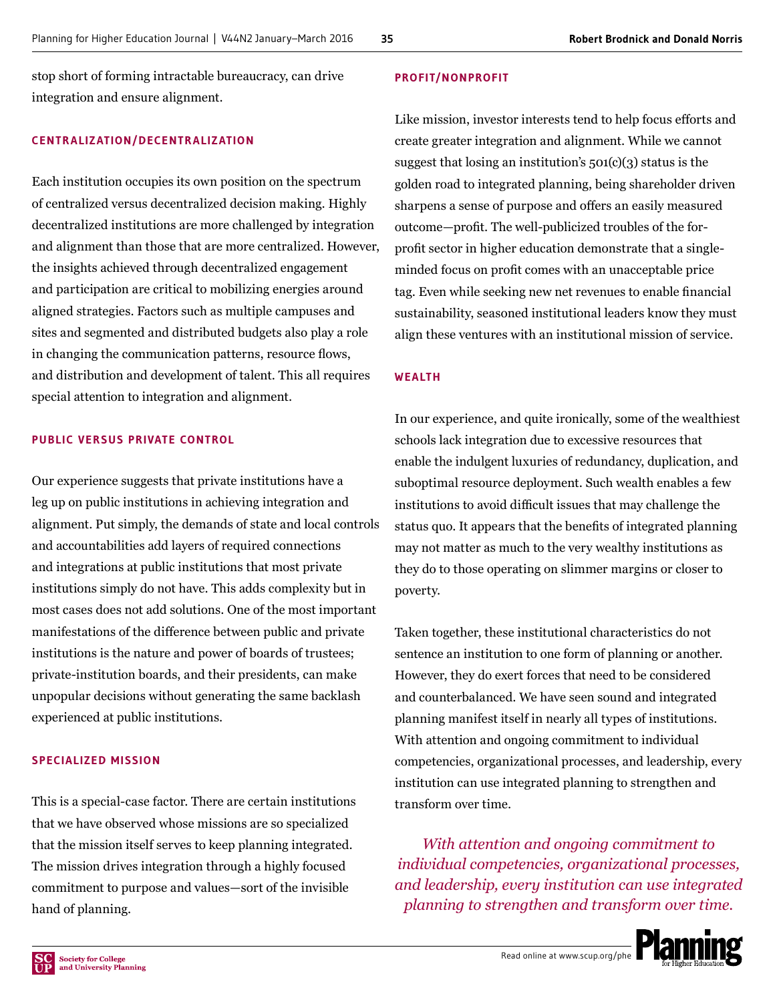stop short of forming intractable bureaucracy, can drive integration and ensure alignment.

#### **CENTRALIZATION/DECENTRALIZATION**

Each institution occupies its own position on the spectrum of centralized versus decentralized decision making. Highly decentralized institutions are more challenged by integration and alignment than those that are more centralized. However, the insights achieved through decentralized engagement and participation are critical to mobilizing energies around aligned strategies. Factors such as multiple campuses and sites and segmented and distributed budgets also play a role in changing the communication patterns, resource flows, and distribution and development of talent. This all requires special attention to integration and alignment.

#### **PUBLIC VERSUS PRIVATE CONTROL**

Our experience suggests that private institutions have a leg up on public institutions in achieving integration and alignment. Put simply, the demands of state and local controls and accountabilities add layers of required connections and integrations at public institutions that most private institutions simply do not have. This adds complexity but in most cases does not add solutions. One of the most important manifestations of the difference between public and private institutions is the nature and power of boards of trustees; private-institution boards, and their presidents, can make unpopular decisions without generating the same backlash experienced at public institutions.

#### **SPECIALIZED MISSION**

This is a special-case factor. There are certain institutions that we have observed whose missions are so specialized that the mission itself serves to keep planning integrated. The mission drives integration through a highly focused commitment to purpose and values—sort of the invisible hand of planning.

#### **PROFIT/NONPROFIT**

Like mission, investor interests tend to help focus efforts and create greater integration and alignment. While we cannot suggest that losing an institution's  $501(c)(3)$  status is the golden road to integrated planning, being shareholder driven sharpens a sense of purpose and offers an easily measured outcome—profit. The well-publicized troubles of the forprofit sector in higher education demonstrate that a singleminded focus on profit comes with an unacceptable price tag. Even while seeking new net revenues to enable financial sustainability, seasoned institutional leaders know they must align these ventures with an institutional mission of service.

#### **WEALTH**

In our experience, and quite ironically, some of the wealthiest schools lack integration due to excessive resources that enable the indulgent luxuries of redundancy, duplication, and suboptimal resource deployment. Such wealth enables a few institutions to avoid difficult issues that may challenge the status quo. It appears that the benefits of integrated planning may not matter as much to the very wealthy institutions as they do to those operating on slimmer margins or closer to poverty.

Taken together, these institutional characteristics do not sentence an institution to one form of planning or another. However, they do exert forces that need to be considered and counterbalanced. We have seen sound and integrated planning manifest itself in nearly all types of institutions. With attention and ongoing commitment to individual competencies, organizational processes, and leadership, every institution can use integrated planning to strengthen and transform over time.

*With attention and ongoing commitment to individual competencies, organizational processes, and leadership, every institution can use integrated planning to strengthen and transform over time.*

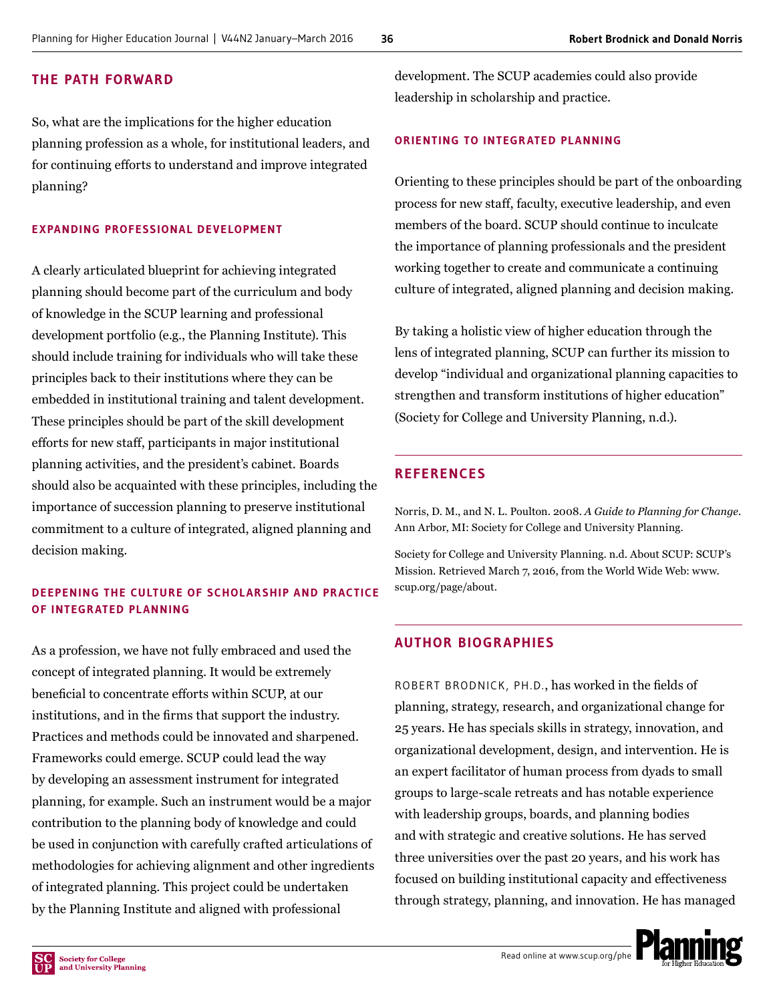# **THE PATH FORWARD**

So, what are the implications for the higher education planning profession as a whole, for institutional leaders, and for continuing efforts to understand and improve integrated planning?

# **EXPANDING PROFESSIONAL DEVELOPMENT**

A clearly articulated blueprint for achieving integrated planning should become part of the curriculum and body of knowledge in the SCUP learning and professional development portfolio (e.g., the Planning Institute). This should include training for individuals who will take these principles back to their institutions where they can be embedded in institutional training and talent development. These principles should be part of the skill development efforts for new staff, participants in major institutional planning activities, and the president's cabinet. Boards should also be acquainted with these principles, including the importance of succession planning to preserve institutional commitment to a culture of integrated, aligned planning and decision making.

# **DEEPENING THE CULTURE OF SCHOLARSHIP AND PRACTICE OF INTEGRATED PLANNING**

As a profession, we have not fully embraced and used the concept of integrated planning. It would be extremely beneficial to concentrate efforts within SCUP, at our institutions, and in the firms that support the industry. Practices and methods could be innovated and sharpened. Frameworks could emerge. SCUP could lead the way by developing an assessment instrument for integrated planning, for example. Such an instrument would be a major contribution to the planning body of knowledge and could be used in conjunction with carefully crafted articulations of methodologies for achieving alignment and other ingredients of integrated planning. This project could be undertaken by the Planning Institute and aligned with professional

development. The SCUP academies could also provide leadership in scholarship and practice.

# **ORIENTING TO INTEGRATED PLANNING**

Orienting to these principles should be part of the onboarding process for new staff, faculty, executive leadership, and even members of the board. SCUP should continue to inculcate the importance of planning professionals and the president working together to create and communicate a continuing culture of integrated, aligned planning and decision making.

By taking a holistic view of higher education through the lens of integrated planning, SCUP can further its mission to develop "individual and organizational planning capacities to strengthen and transform institutions of higher education" (Society for College and University Planning, n.d.).

# **REFERENCES**

Norris, D. M., and N. L. Poulton. 2008. *A Guide to Planning for Change.* Ann Arbor, MI: Society for College and University Planning.

Society for College and University Planning. n.d. About SCUP: SCUP's Mission. Retrieved March 7, 2016, from the World Wide Web: [www.](http://www.scup.org/page/about) [scup.org/page/about.](http://www.scup.org/page/about)

# **AUTHOR BIOGRAPHIES**

ROBERT BRODNICK, PH.D., has worked in the fields of planning, strategy, research, and organizational change for 25 years. He has specials skills in strategy, innovation, and organizational development, design, and intervention. He is an expert facilitator of human process from dyads to small groups to large-scale retreats and has notable experience with leadership groups, boards, and planning bodies and with strategic and creative solutions. He has served three universities over the past 20 years, and his work has focused on building institutional capacity and effectiveness through strategy, planning, and innovation. He has managed

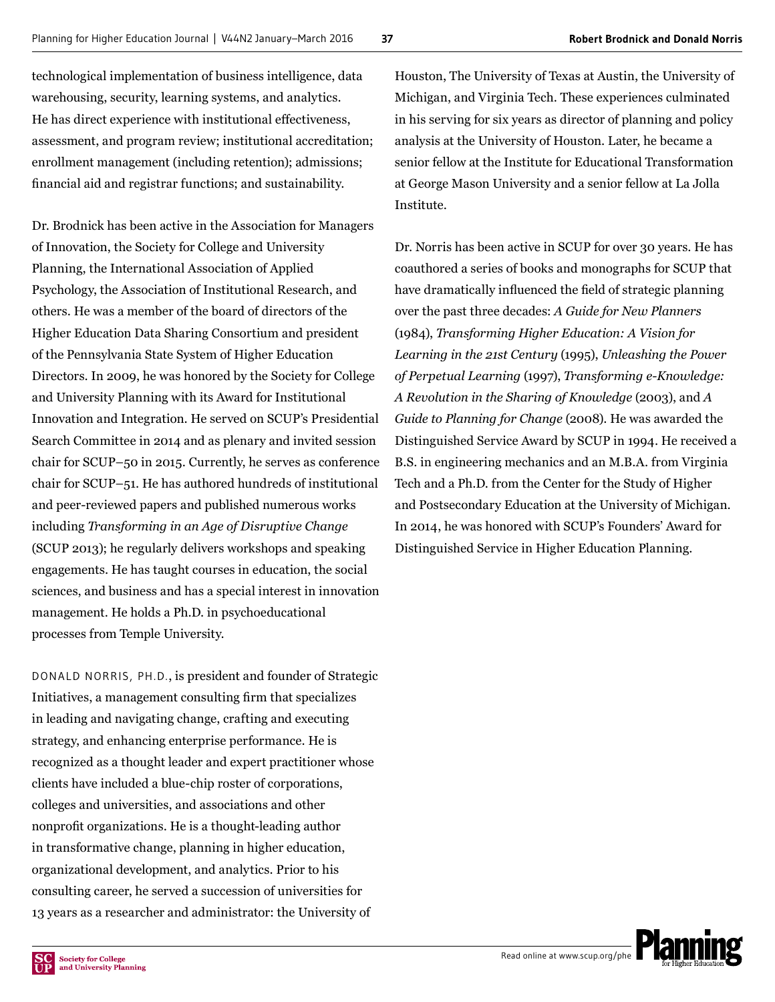technological implementation of business intelligence, data warehousing, security, learning systems, and analytics. He has direct experience with institutional effectiveness, assessment, and program review; institutional accreditation; enrollment management (including retention); admissions; financial aid and registrar functions; and sustainability.

Dr. Brodnick has been active in the Association for Managers of Innovation, the Society for College and University Planning, the International Association of Applied Psychology, the Association of Institutional Research, and others. He was a member of the board of directors of the Higher Education Data Sharing Consortium and president of the Pennsylvania State System of Higher Education Directors. In 2009, he was honored by the Society for College and University Planning with its Award for Institutional Innovation and Integration. He served on SCUP's Presidential Search Committee in 2014 and as plenary and invited session chair for SCUP–50 in 2015. Currently, he serves as conference chair for SCUP–51. He has authored hundreds of institutional and peer-reviewed papers and published numerous works including *Transforming in an Age of Disruptive Change* (SCUP 2013); he regularly delivers workshops and speaking engagements. He has taught courses in education, the social sciences, and business and has a special interest in innovation management. He holds a Ph.D. in psychoeducational processes from Temple University.

DONALD NORRIS, PH.D., is president and founder of Strategic Initiatives, a management consulting firm that specializes in leading and navigating change, crafting and executing strategy, and enhancing enterprise performance. He is recognized as a thought leader and expert practitioner whose clients have included a blue-chip roster of corporations, colleges and universities, and associations and other nonprofit organizations. He is a thought-leading author in transformative change, planning in higher education, organizational development, and analytics. Prior to his consulting career, he served a succession of universities for 13 years as a researcher and administrator: the University of

Houston, The University of Texas at Austin, the University of Michigan, and Virginia Tech. These experiences culminated in his serving for six years as director of planning and policy analysis at the University of Houston. Later, he became a senior fellow at the Institute for Educational Transformation at George Mason University and a senior fellow at La Jolla Institute.

Dr. Norris has been active in SCUP for over 30 years. He has coauthored a series of books and monographs for SCUP that have dramatically influenced the field of strategic planning over the past three decades: *A Guide for New Planners* (1984), *Transforming Higher Education: A Vision for Learning in the 21st Century* (1995), *Unleashing the Power of Perpetual Learning* (1997), *Transforming e-Knowledge: A Revolution in the Sharing of Knowledge* (2003), and *A Guide to Planning for Change* (2008). He was awarded the Distinguished Service Award by SCUP in 1994. He received a B.S. in engineering mechanics and an M.B.A. from Virginia Tech and a Ph.D. from the Center for the Study of Higher and Postsecondary Education at the University of Michigan. In 2014, he was honored with SCUP's Founders' Award for Distinguished Service in Higher Education Planning.